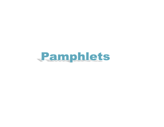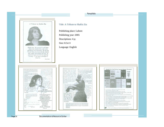Pamphlets **Pamphlets** 



ماڻهو سڀ تہ سهاءِ پکي سڀ تہ هاج Aspiring

- ڪنهن ڪنهن ماڻهو منجهه اڄي بوءِ بهار جي Humane

شاھ عبدالطف ڀٽائي<br>Aslam Brohi

Loyal

Alive

## Title: A Tribute to Shahla Zia

Publishing place: Lahore

Publishing year: 2005

Descriptions: 4 p;

Size: 8.5x11

Language: English





Naheed Syed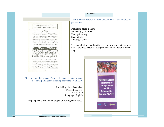

Title: Raising HER Voice: Women Effective Participation and Leadership in Decision-making Processes (WEPLDP)

> Publishing place: Islamabad Descriptions: 8 p; Size: 3.5x9 Language: English

This pamphlet is used on the project of Raising HER Voice.

## Pamphlets

Title: 8 March Aurtoon ka Benulaqwami Din: Is din ka tareekhi pas manzar

Publishing place: Lahore Publishing year: 2002 Descriptions: 4 p; Size: 6.5x10 Language: Urdu

This pamphlet was used on the occasion of women international day. It provides historical background of International Women's Day.